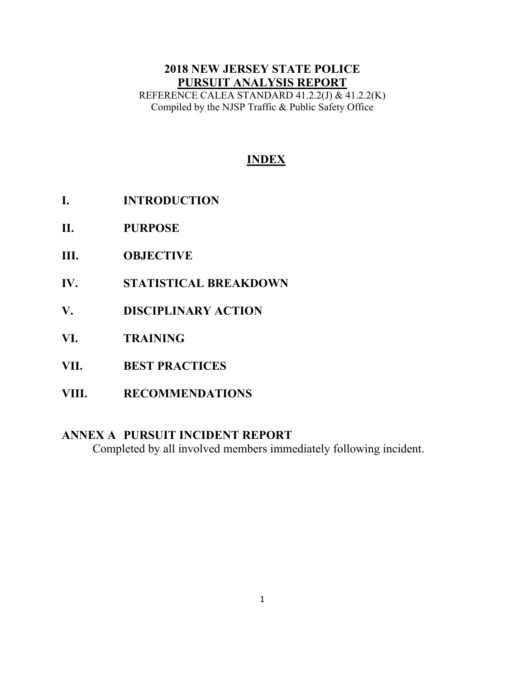# **2018 NEW JERSEY STATE POLICE PURSUIT ANALYSIS REPORT**

REFERENCE CALEA STANDARD 41.2.2(J) & 41.2.2(K) Compiled by the NJSP Traffic & Public Safety Office

# **INDEX**

- **I. INTRODUCTION**
- **II. PURPOSE**
- **III. OBJECTIVE**
- **IV. STATISTICAL BREAKDOWN**
- **V. DISCIPLINARY ACTION**
- **VI. TRAINING**
- **VII. BEST PRACTICES**
- **VIII. RECOMMENDATIONS**

## **ANNEX A PURSUIT INCIDENT REPORT**

Completed by all involved members immediately following incident.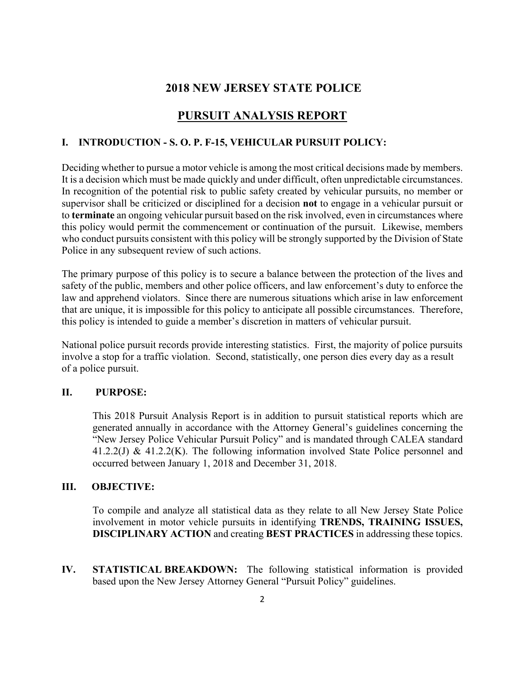### **2018 NEW JERSEY STATE POLICE**

## **PURSUIT ANALYSIS REPORT**

#### **I. INTRODUCTION - S. O. P. F-15, VEHICULAR PURSUIT POLICY:**

Deciding whether to pursue a motor vehicle is among the most critical decisions made by members. It is a decision which must be made quickly and under difficult, often unpredictable circumstances. In recognition of the potential risk to public safety created by vehicular pursuits, no member or supervisor shall be criticized or disciplined for a decision **not** to engage in a vehicular pursuit or to **terminate** an ongoing vehicular pursuit based on the risk involved, even in circumstances where this policy would permit the commencement or continuation of the pursuit. Likewise, members who conduct pursuits consistent with this policy will be strongly supported by the Division of State Police in any subsequent review of such actions.

The primary purpose of this policy is to secure a balance between the protection of the lives and safety of the public, members and other police officers, and law enforcement's duty to enforce the law and apprehend violators. Since there are numerous situations which arise in law enforcement that are unique, it is impossible for this policy to anticipate all possible circumstances. Therefore, this policy is intended to guide a member's discretion in matters of vehicular pursuit.

National police pursuit records provide interesting statistics. First, the majority of police pursuits involve a stop for a traffic violation. Second, statistically, one person dies every day as a result of a police pursuit.

#### **II. PURPOSE:**

This 2018 Pursuit Analysis Report is in addition to pursuit statistical reports which are generated annually in accordance with the Attorney General's guidelines concerning the "New Jersey Police Vehicular Pursuit Policy" and is mandated through CALEA standard 41.2.2(J) & 41.2.2(K). The following information involved State Police personnel and occurred between January 1, 2018 and December 31, 2018.

#### **III. OBJECTIVE:**

To compile and analyze all statistical data as they relate to all New Jersey State Police involvement in motor vehicle pursuits in identifying **TRENDS, TRAINING ISSUES, DISCIPLINARY ACTION** and creating **BEST PRACTICES** in addressing these topics.

**IV. STATISTICAL BREAKDOWN:** The following statistical information is provided based upon the New Jersey Attorney General "Pursuit Policy" guidelines.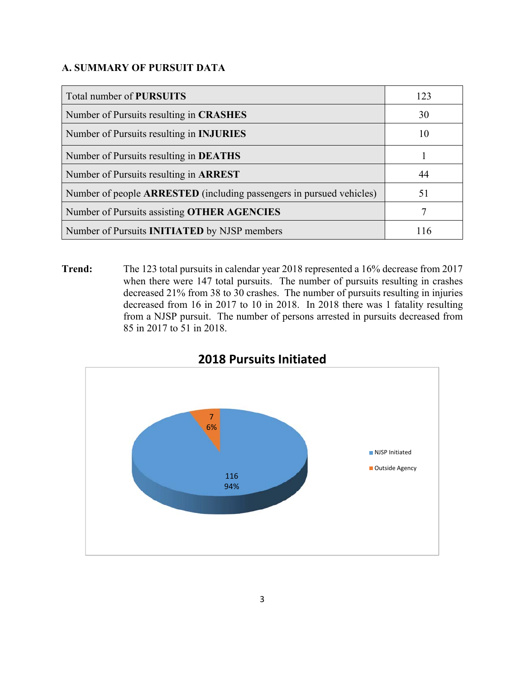### **A. SUMMARY OF PURSUIT DATA**

| Total number of <b>PURSUITS</b>                                      | 123 |
|----------------------------------------------------------------------|-----|
| Number of Pursuits resulting in <b>CRASHES</b>                       | 30  |
| Number of Pursuits resulting in <b>INJURIES</b>                      | 10  |
| Number of Pursuits resulting in <b>DEATHS</b>                        |     |
| Number of Pursuits resulting in <b>ARREST</b>                        | 44  |
| Number of people ARRESTED (including passengers in pursued vehicles) | 51  |
| Number of Pursuits assisting OTHER AGENCIES                          |     |
| Number of Pursuits <b>INITIATED</b> by NJSP members                  |     |

**Trend:** The 123 total pursuits in calendar year 2018 represented a 16% decrease from 2017 when there were 147 total pursuits. The number of pursuits resulting in crashes decreased 21% from 38 to 30 crashes. The number of pursuits resulting in injuries decreased from 16 in 2017 to 10 in 2018. In 2018 there was 1 fatality resulting from a NJSP pursuit. The number of persons arrested in pursuits decreased from 85 in 2017 to 51 in 2018.



## **2018 Pursuits Initiated**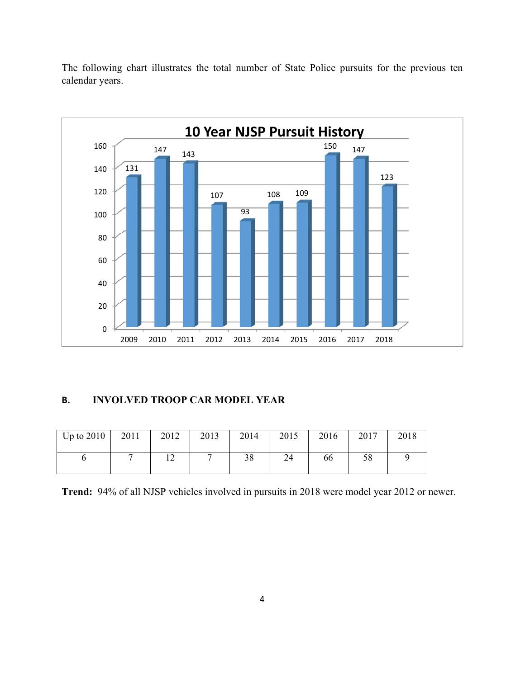The following chart illustrates the total number of State Police pursuits for the previous ten calendar years.



#### **B. INVOLVED TROOP CAR MODEL YEAR**

| Up to $2010$ | 2011 | 2012 | 2013 | 2014 | 2015 | 2016 | 2017 | 2018 |
|--------------|------|------|------|------|------|------|------|------|
|              |      | ∸    |      | 38   | 24   | 66   | 58   |      |

**Trend:** 94% of all NJSP vehicles involved in pursuits in 2018 were model year 2012 or newer.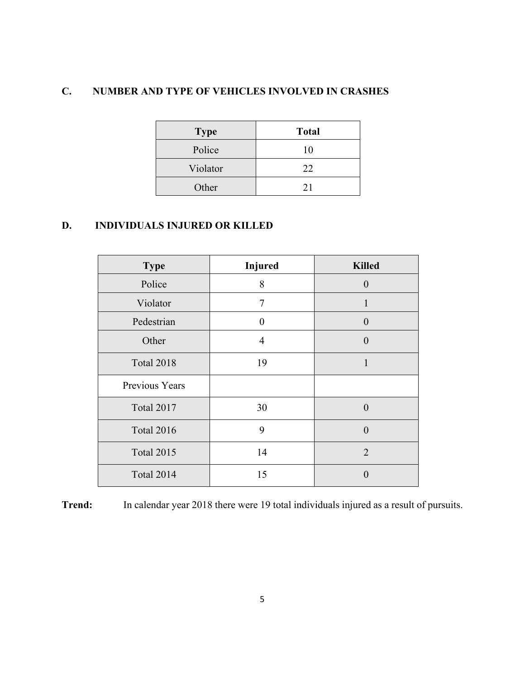## **C. NUMBER AND TYPE OF VEHICLES INVOLVED IN CRASHES**

| <b>Type</b> | <b>Total</b> |
|-------------|--------------|
| Police      | 10           |
| Violator    | 22           |
| Other       | 21           |

## **D. INDIVIDUALS INJURED OR KILLED**

| <b>Type</b>       | <b>Injured</b> | <b>Killed</b>  |
|-------------------|----------------|----------------|
| Police            | 8              | $\theta$       |
| Violator          | 7              |                |
| Pedestrian        | 0              | $\overline{0}$ |
| Other             | 4              | $\overline{0}$ |
| <b>Total 2018</b> | 19             |                |
| Previous Years    |                |                |
| <b>Total 2017</b> | 30             | $\overline{0}$ |
| <b>Total 2016</b> | 9              | $\overline{0}$ |
| <b>Total 2015</b> | 14             | $\overline{2}$ |
| Total 2014        | 15             | 0              |

**Trend:** In calendar year 2018 there were 19 total individuals injured as a result of pursuits.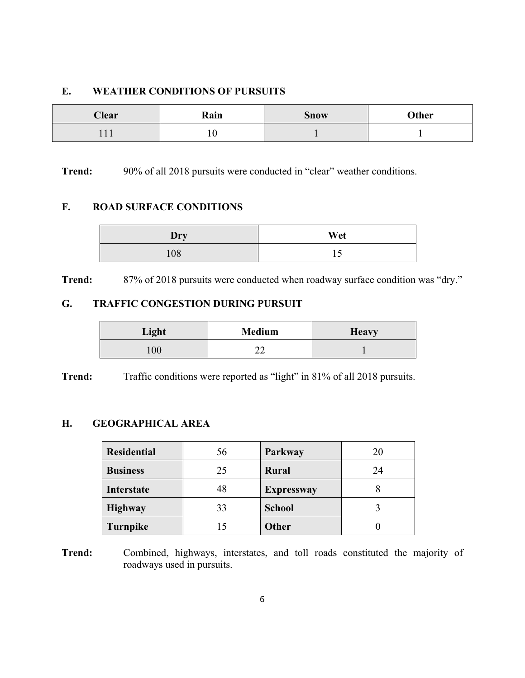### **E. WEATHER CONDITIONS OF PURSUITS**

| <b>Clear</b> | Rain<br><b>Snow</b> |  | Other |
|--------------|---------------------|--|-------|
| <b>TTT</b>   | 1 V                 |  |       |

**Trend:** 90% of all 2018 pursuits were conducted in "clear" weather conditions.

#### **F. ROAD SURFACE CONDITIONS**

| Dry | Wet |  |
|-----|-----|--|
| 108 |     |  |

**Trend:** 87% of 2018 pursuits were conducted when roadway surface condition was "dry."

## **G. TRAFFIC CONGESTION DURING PURSUIT**

| Light          | <b>Medium</b> | <b>Heavy</b> |
|----------------|---------------|--------------|
| 0 <sup>0</sup> | - -           |              |

**Trend:** Traffic conditions were reported as "light" in 81% of all 2018 pursuits.

#### **H. GEOGRAPHICAL AREA**

| <b>Residential</b> | 56 | Parkway           | 20 |
|--------------------|----|-------------------|----|
| <b>Business</b>    | 25 | <b>Rural</b>      | 24 |
| Interstate         | 48 | <b>Expressway</b> |    |
| <b>Highway</b>     | 33 | <b>School</b>     |    |
| Turnpike           |    | <b>Other</b>      |    |

**Trend:** Combined, highways, interstates, and toll roads constituted the majority of roadways used in pursuits.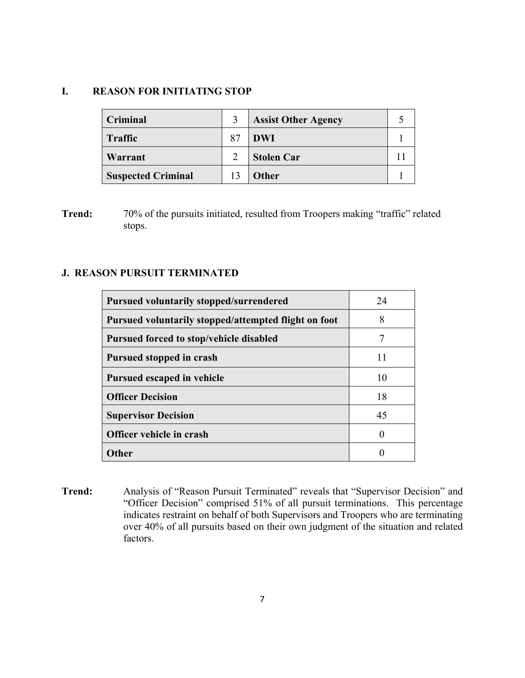#### **I. REASON FOR INITIATING STOP**

| Criminal                  |    | <b>Assist Other Agency</b> |  |
|---------------------------|----|----------------------------|--|
| <b>Traffic</b>            | 87 | <b>DWI</b>                 |  |
| Warrant                   |    | <b>Stolen Car</b>          |  |
| <b>Suspected Criminal</b> |    | <b>Other</b>               |  |

**Trend:** 70% of the pursuits initiated, resulted from Troopers making "traffic" related stops.

#### **J. REASON PURSUIT TERMINATED**

| <b>Pursued voluntarily stopped/surrendered</b>       | 24       |
|------------------------------------------------------|----------|
| Pursued voluntarily stopped/attempted flight on foot | 8        |
| Pursued forced to stop/vehicle disabled              | 7        |
| Pursued stopped in crash                             | 11       |
| Pursued escaped in vehicle                           | 10       |
| <b>Officer Decision</b>                              | 18       |
| <b>Supervisor Decision</b>                           | 45       |
| Officer vehicle in crash                             | $\theta$ |
| <b>Other</b>                                         |          |

**Trend:** Analysis of "Reason Pursuit Terminated" reveals that "Supervisor Decision" and "Officer Decision" comprised 51% of all pursuit terminations. This percentage indicates restraint on behalf of both Supervisors and Troopers who are terminating over 40% of all pursuits based on their own judgment of the situation and related factors.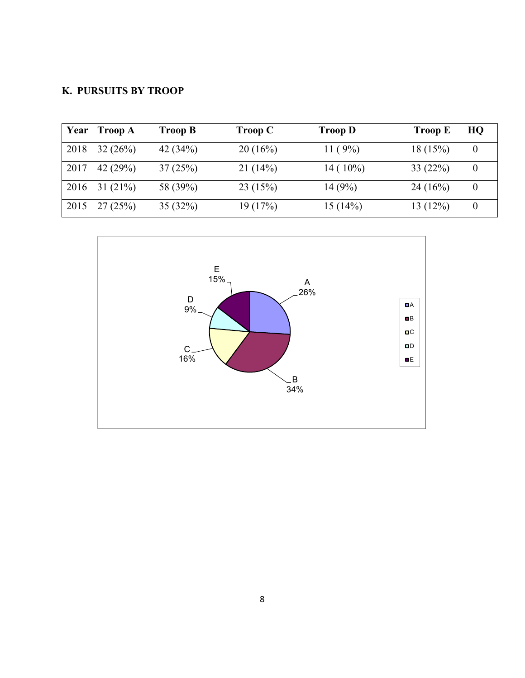## **K. PURSUITS BY TROOP**

| Year | <b>Troop A</b> | Troop B    | <b>Troop C</b> | <b>Troop D</b> | <b>Troop E</b> | HQ |
|------|----------------|------------|----------------|----------------|----------------|----|
| 2018 | 32(26%)        | 42 $(34%)$ | 20(16%)        | 11 $(9%)$      | 18(15%)        |    |
| 2017 | 42 $(29%)$     | 37(25%)    | 21(14%)        | $14(10\%)$     | 33(22%)        |    |
| 2016 | 31(21%)        | 58 (39%)   | 23(15%)        | 14(9%)         | 24(16%)        |    |
| 2015 | 27(25%)        | 35(32%)    | 19(17%)        | 15(14%)        | 13(12%)        |    |

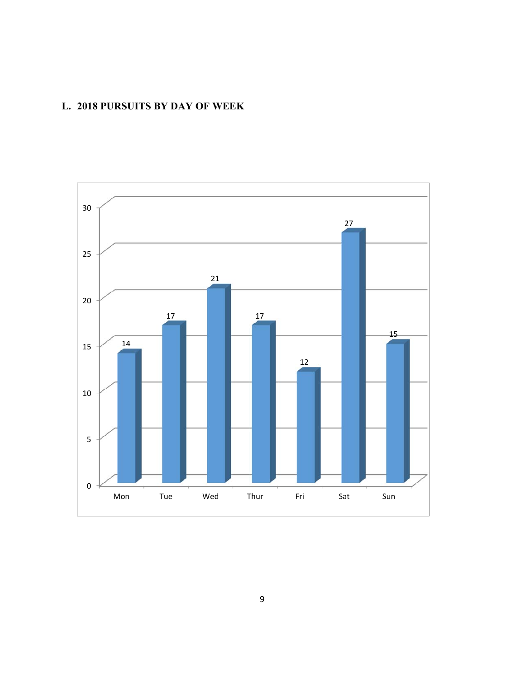## **L. 2018 PURSUITS BY DAY OF WEEK**

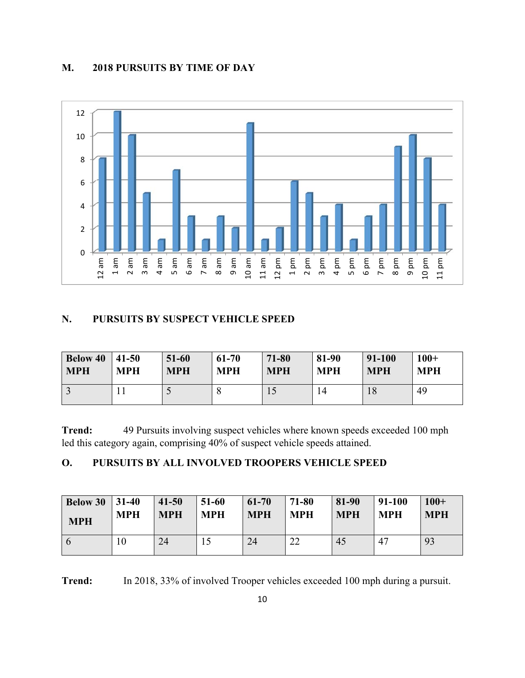### **M. 2018 PURSUITS BY TIME OF DAY**



#### **N. PURSUITS BY SUSPECT VEHICLE SPEED**

| <b>Below 40</b> | $ 41-50$   | $51 - 60$  | $61 - 70$  | 71-80      | 81-90      | 91-100     | $100+$     |
|-----------------|------------|------------|------------|------------|------------|------------|------------|
| <b>MPH</b>      | <b>MPH</b> | <b>MPH</b> | <b>MPH</b> | <b>MPH</b> | <b>MPH</b> | <b>MPH</b> | <b>MPH</b> |
|                 |            |            |            |            | 14         | 18         | 49         |

**Trend:** 49 Pursuits involving suspect vehicles where known speeds exceeded 100 mph led this category again, comprising 40% of suspect vehicle speeds attained.

## **O. PURSUITS BY ALL INVOLVED TROOPERS VEHICLE SPEED**

| <b>Below 30</b> 31-40 | <b>MPH</b> | $41 - 50$  | $51-60$    | 61-70      | 71-80      | 81-90      | 91-100     | $100+$     |
|-----------------------|------------|------------|------------|------------|------------|------------|------------|------------|
| <b>MPH</b>            |            | <b>MPH</b> | <b>MPH</b> | <b>MPH</b> | <b>MPH</b> | <b>MPH</b> | <b>MPH</b> | <b>MPH</b> |
|                       | 10         | 24         |            | 24         | າາ<br>∠∠   | 45         | 47         | 93         |

**Trend:** In 2018, 33% of involved Trooper vehicles exceeded 100 mph during a pursuit.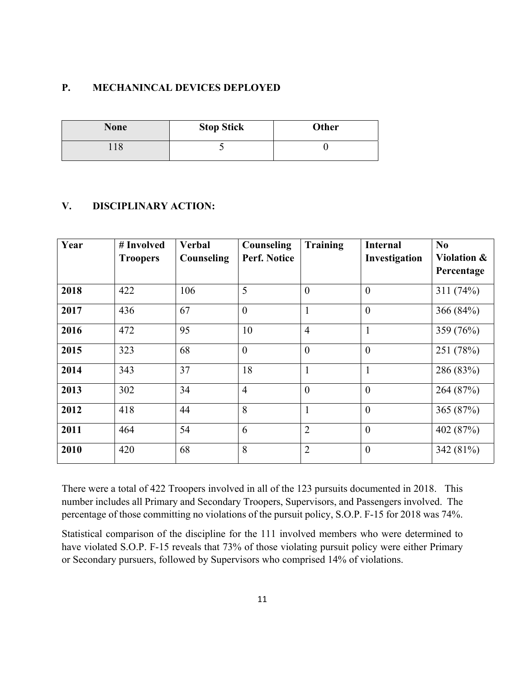#### **P. MECHANINCAL DEVICES DEPLOYED**

| <b>None</b> | <b>Stop Stick</b> | <b>Other</b> |
|-------------|-------------------|--------------|
|             | ັ                 |              |

#### **V. DISCIPLINARY ACTION:**

| Year | # Involved<br><b>Troopers</b> | <b>Verbal</b><br>Counseling | Counseling<br>Perf. Notice | <b>Training</b> | <b>Internal</b><br>Investigation | No<br>Violation &<br>Percentage |
|------|-------------------------------|-----------------------------|----------------------------|-----------------|----------------------------------|---------------------------------|
| 2018 | 422                           | 106                         | 5                          | $\overline{0}$  | $\overline{0}$                   | 311(74%)                        |
| 2017 | 436                           | 67                          | $\mathbf{0}$               | $\mathbf{1}$    | $\overline{0}$                   | 366 (84%)                       |
| 2016 | 472                           | 95                          | 10                         | $\overline{4}$  |                                  | 359 (76%)                       |
| 2015 | 323                           | 68                          | $\boldsymbol{0}$           | $\theta$        | $\theta$                         | 251 (78%)                       |
| 2014 | 343                           | 37                          | 18                         | $\mathbf{1}$    |                                  | 286 (83%)                       |
| 2013 | 302                           | 34                          | $\overline{4}$             | $\theta$        | $\theta$                         | 264 (87%)                       |
| 2012 | 418                           | 44                          | 8                          | $\mathbf{1}$    | $\overline{0}$                   | 365 (87%)                       |
| 2011 | 464                           | 54                          | 6                          | $\overline{2}$  | $\theta$                         | 402 (87%)                       |
| 2010 | 420                           | 68                          | 8                          | $\overline{2}$  | $\overline{0}$                   | 342 (81%)                       |

There were a total of 422 Troopers involved in all of the 123 pursuits documented in 2018. This number includes all Primary and Secondary Troopers, Supervisors, and Passengers involved. The percentage of those committing no violations of the pursuit policy, S.O.P. F-15 for 2018 was 74%.

Statistical comparison of the discipline for the 111 involved members who were determined to have violated S.O.P. F-15 reveals that 73% of those violating pursuit policy were either Primary or Secondary pursuers, followed by Supervisors who comprised 14% of violations.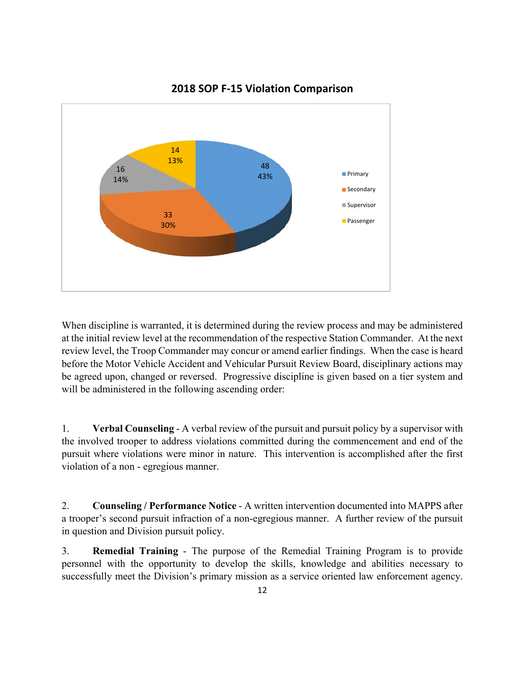

### **2018 SOP F‐15 Violation Comparison**

When discipline is warranted, it is determined during the review process and may be administered at the initial review level at the recommendation of the respective Station Commander. At the next review level, the Troop Commander may concur or amend earlier findings. When the case is heard before the Motor Vehicle Accident and Vehicular Pursuit Review Board, disciplinary actions may be agreed upon, changed or reversed. Progressive discipline is given based on a tier system and will be administered in the following ascending order:

1. **Verbal Counseling** - A verbal review of the pursuit and pursuit policy by a supervisor with the involved trooper to address violations committed during the commencement and end of the pursuit where violations were minor in nature. This intervention is accomplished after the first violation of a non - egregious manner.

2. **Counseling / Performance Notice** - A written intervention documented into MAPPS after a trooper's second pursuit infraction of a non-egregious manner. A further review of the pursuit in question and Division pursuit policy.

3. **Remedial Training** - The purpose of the Remedial Training Program is to provide personnel with the opportunity to develop the skills, knowledge and abilities necessary to successfully meet the Division's primary mission as a service oriented law enforcement agency.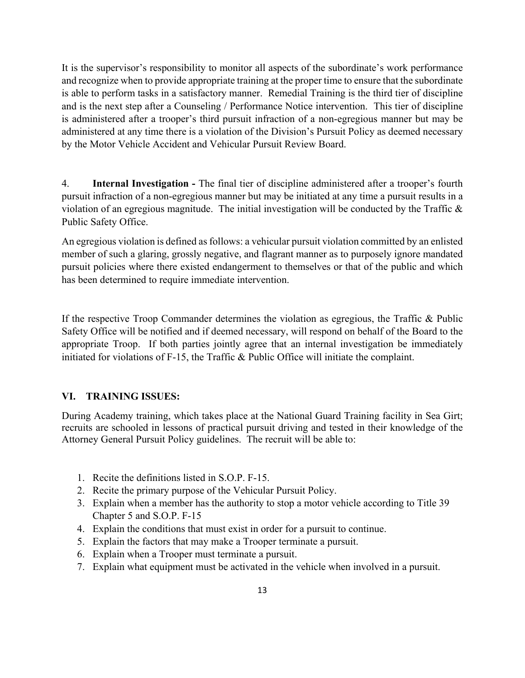It is the supervisor's responsibility to monitor all aspects of the subordinate's work performance and recognize when to provide appropriate training at the proper time to ensure that the subordinate is able to perform tasks in a satisfactory manner. Remedial Training is the third tier of discipline and is the next step after a Counseling / Performance Notice intervention. This tier of discipline is administered after a trooper's third pursuit infraction of a non-egregious manner but may be administered at any time there is a violation of the Division's Pursuit Policy as deemed necessary by the Motor Vehicle Accident and Vehicular Pursuit Review Board.

4. **Internal Investigation -** The final tier of discipline administered after a trooper's fourth pursuit infraction of a non-egregious manner but may be initiated at any time a pursuit results in a violation of an egregious magnitude. The initial investigation will be conducted by the Traffic  $\&$ Public Safety Office.

An egregious violation is defined as follows: a vehicular pursuit violation committed by an enlisted member of such a glaring, grossly negative, and flagrant manner as to purposely ignore mandated pursuit policies where there existed endangerment to themselves or that of the public and which has been determined to require immediate intervention.

If the respective Troop Commander determines the violation as egregious, the Traffic & Public Safety Office will be notified and if deemed necessary, will respond on behalf of the Board to the appropriate Troop. If both parties jointly agree that an internal investigation be immediately initiated for violations of F-15, the Traffic & Public Office will initiate the complaint.

#### **VI. TRAINING ISSUES:**

During Academy training, which takes place at the National Guard Training facility in Sea Girt; recruits are schooled in lessons of practical pursuit driving and tested in their knowledge of the Attorney General Pursuit Policy guidelines. The recruit will be able to:

- 1. Recite the definitions listed in S.O.P. F-15.
- 2. Recite the primary purpose of the Vehicular Pursuit Policy.
- 3. Explain when a member has the authority to stop a motor vehicle according to Title 39 Chapter 5 and S.O.P. F-15
- 4. Explain the conditions that must exist in order for a pursuit to continue.
- 5. Explain the factors that may make a Trooper terminate a pursuit.
- 6. Explain when a Trooper must terminate a pursuit.
- 7. Explain what equipment must be activated in the vehicle when involved in a pursuit.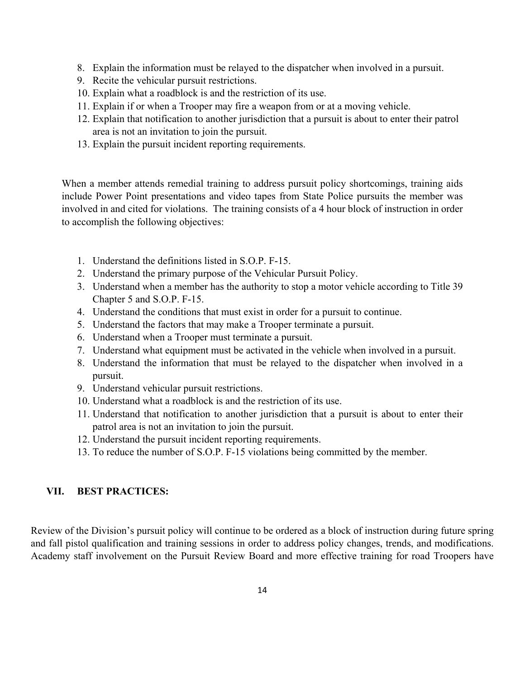- 8. Explain the information must be relayed to the dispatcher when involved in a pursuit.
- 9. Recite the vehicular pursuit restrictions.
- 10. Explain what a roadblock is and the restriction of its use.
- 11. Explain if or when a Trooper may fire a weapon from or at a moving vehicle.
- 12. Explain that notification to another jurisdiction that a pursuit is about to enter their patrol area is not an invitation to join the pursuit.
- 13. Explain the pursuit incident reporting requirements.

When a member attends remedial training to address pursuit policy shortcomings, training aids include Power Point presentations and video tapes from State Police pursuits the member was involved in and cited for violations. The training consists of a 4 hour block of instruction in order to accomplish the following objectives:

- 1. Understand the definitions listed in S.O.P. F-15.
- 2. Understand the primary purpose of the Vehicular Pursuit Policy.
- 3. Understand when a member has the authority to stop a motor vehicle according to Title 39 Chapter 5 and S.O.P. F-15.
- 4. Understand the conditions that must exist in order for a pursuit to continue.
- 5. Understand the factors that may make a Trooper terminate a pursuit.
- 6. Understand when a Trooper must terminate a pursuit.
- 7. Understand what equipment must be activated in the vehicle when involved in a pursuit.
- 8. Understand the information that must be relayed to the dispatcher when involved in a pursuit.
- 9. Understand vehicular pursuit restrictions.
- 10. Understand what a roadblock is and the restriction of its use.
- 11. Understand that notification to another jurisdiction that a pursuit is about to enter their patrol area is not an invitation to join the pursuit.
- 12. Understand the pursuit incident reporting requirements.
- 13. To reduce the number of S.O.P. F-15 violations being committed by the member.

#### **VII. BEST PRACTICES:**

Review of the Division's pursuit policy will continue to be ordered as a block of instruction during future spring and fall pistol qualification and training sessions in order to address policy changes, trends, and modifications. Academy staff involvement on the Pursuit Review Board and more effective training for road Troopers have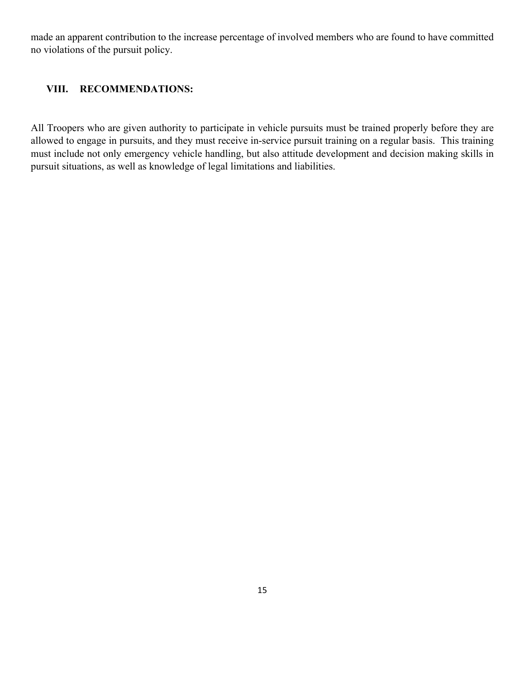made an apparent contribution to the increase percentage of involved members who are found to have committed no violations of the pursuit policy.

#### **VIII. RECOMMENDATIONS:**

All Troopers who are given authority to participate in vehicle pursuits must be trained properly before they are allowed to engage in pursuits, and they must receive in-service pursuit training on a regular basis. This training must include not only emergency vehicle handling, but also attitude development and decision making skills in pursuit situations, as well as knowledge of legal limitations and liabilities.